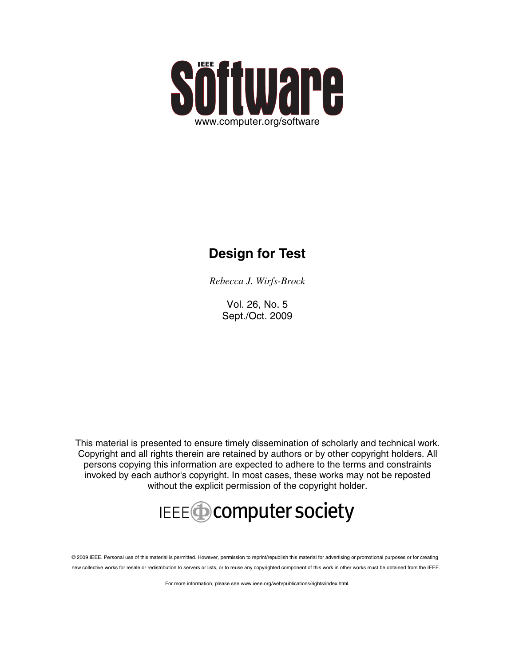

### **Design for Test**

*Rebecca J. Wirfs-Brock* 

Vol. 26, No. 5 Sept./Oct. 2009

This material is presented to ensure timely dissemination of scholarly and technical work. Copyright and all rights therein are retained by authors or by other copyright holders. All persons copying this information are expected to adhere to the terms and constraints invoked by each author's copyright. In most cases, these works may not be reposted without the explicit permission of the copyright holder.

## IEEE **Computer society**

© 2009 IEEE. Personal use of this material is permitted. However, permission to reprint/republish this material for advertising or promotional purposes or for creating new collective works for resale or redistribution to servers or lists, or to reuse any copyrighted component of this work in other works must be obtained from the IEEE.

For more information, please see www.ieee.org/web/publications/rights/index.html.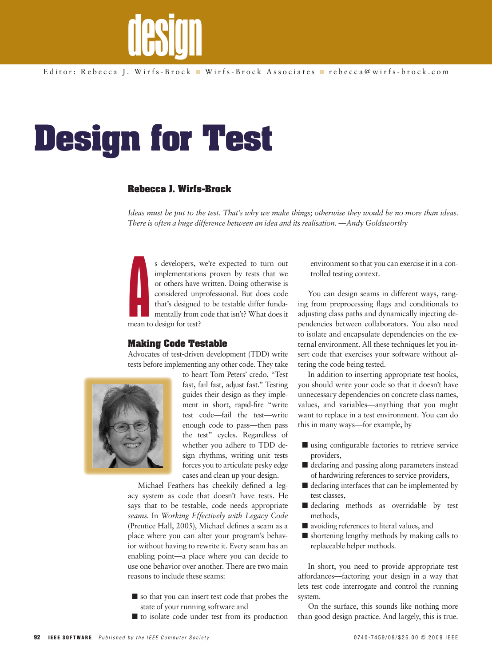

# **Design for Test**

#### **Rebecca J. Wirfs-Brock**

*Ideas must be put to the test. That's why we make things; otherwise they would be no more than ideas. There is often a huge difference between an idea and its realisation. —Andy Goldsworthy*

A s developers, we're expected to turn out implementations proven by tests that we or others have written. Doing otherwise is considered unprofessional. But does code that's designed to be testable differ fundamentally from code that isn't? What does it mean to design for test?

#### **Making Code Testable**

Advocates of test-driven development (TDD) write tests before implementing any other code. They take



to heart Tom Peters' credo, "Test fast, fail fast, adjust fast." Testing guides their design as they implement in short, rapid-fire "write test code—fail the test—write enough code to pass—then pass the test" cycles. Regardless of whether you adhere to TDD design rhythms, writing unit tests forces you to articulate pesky edge cases and clean up your design.

Michael Feathers has cheekily defined a legacy system as code that doesn't have tests. He says that to be testable, code needs appropriate *seams*. In *Working Effectively with Legacy Code* (Prentice Hall, 2005), Michael defines a seam as a place where you can alter your program's behavior without having to rewrite it. Every seam has an enabling point—a place where you can decide to use one behavior over another. There are two main reasons to include these seams:

- $\blacksquare$  so that you can insert test code that probes the state of your running software and
- $\blacksquare$  to isolate code under test from its production

environment so that you can exercise it in a controlled testing context.

You can design seams in different ways, ranging from preprocessing flags and conditionals to adjusting class paths and dynamically injecting dependencies between collaborators. You also need to isolate and encapsulate dependencies on the external environment. All these techniques let you insert code that exercises your software without altering the code being tested.

In addition to inserting appropriate test hooks, you should write your code so that it doesn't have unnecessary dependencies on concrete class names, values, and variables—anything that you might want to replace in a test environment. You can do this in many ways—for example, by

- $\blacksquare$  using configurable factories to retrieve service providers,
- $\blacksquare$  declaring and passing along parameters instead of hardwiring references to service providers,
- $\blacksquare$  declaring interfaces that can be implemented by test classes,
- N declaring methods as overridable by test methods,
- $\blacksquare$  avoiding references to literal values, and
- $\blacksquare$  shortening lengthy methods by making calls to replaceable helper methods.

In short, you need to provide appropriate test affordances—factoring your design in a way that lets test code interrogate and control the running system.

On the surface, this sounds like nothing more than good design practice. And largely, this is true.